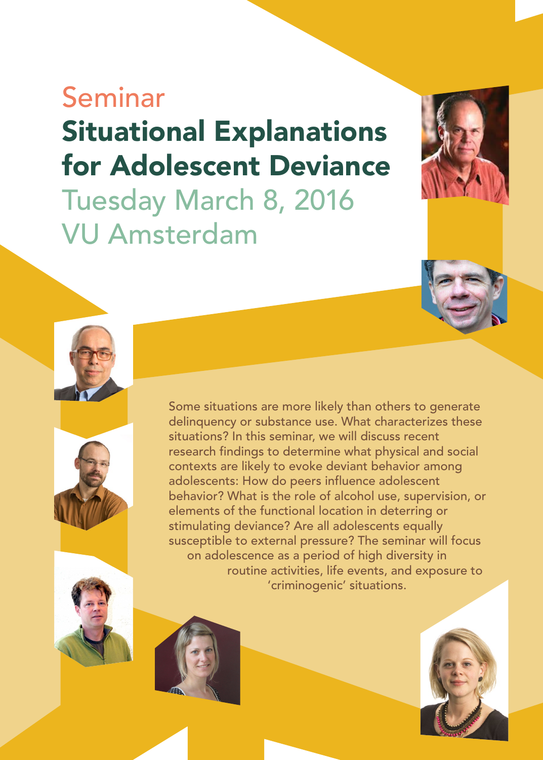## Seminar Situational Explanations for Adolescent Deviance Tuesday March 8, 2016 VU Amsterdam









Some situations are more likely than others to generate delinquency or substance use. What characterizes these situations? In this seminar, we will discuss recent research findings to determine what physical and social contexts are likely to evoke deviant behavior among adolescents: How do peers influence adolescent behavior? What is the role of alcohol use, supervision, or elements of the functional location in deterring or stimulating deviance? Are all adolescents equally susceptible to external pressure? The seminar will focus on adolescence as a period of high diversity in routine activities, life events, and exposure to 'criminogenic' situations.